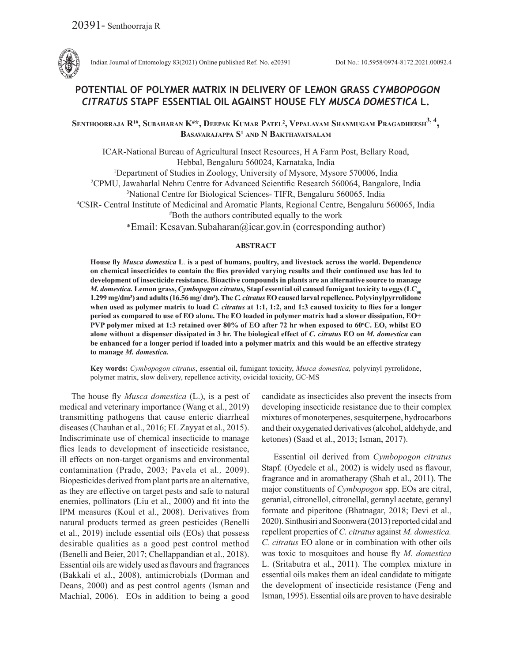

Indian Journal of Entomology 83(2021) Online published Ref. No. e20391 DoI No.: 10.5958/0974-8172.2021.00092.4

# **POTENTIAL OF POLYMER MATRIX IN DELIVERY OF LEMON GRASS** *CYMBOPOGON CITRATUS* **STAPF ESSENTIAL OIL AGAINST HOUSE FLY** *MUSCA DOMESTICA* **L.**

**Senthoorraja R1#, Subaharan K# \*, Deepak Kumar Patel2 , Vppalayam Shanmugam Pragadheesh3, 4 , Basavarajappa S1 and N Bakthavatsalam**

ICAR-National Bureau of Agricultural Insect Resources, H A Farm Post, Bellary Road, Hebbal, Bengaluru 560024, Karnataka, India

<sup>1</sup>Department of Studies in Zoology, University of Mysore, Mysore 570006, India

2 CPMU, Jawaharlal Nehru Centre for Advanced Scientific Research 560064, Bangalore, India

3 National Centre for Biological Sciences- TIFR, Bengaluru 560065, India

4 CSIR- Central Institute of Medicinal and Aromatic Plants, Regional Centre, Bengaluru 560065, India # Both the authors contributed equally to the work

\*Email: Kesavan.Subaharan@icar.gov.in (corresponding author)

## **ABSTRACT**

**House fly** *Musca domestica* **L***.* **is a pest of humans, poultry, and livestock across the world. Dependence on chemical insecticides to contain the flies provided varying results and their continued use has led to development of insecticide resistance. Bioactive compounds in plants are an alternative source to manage**  *M. domestica.* Lemon grass, *Cymbopogon citratus*, Stapf essential oil caused fumigant toxicity to eggs (LC<sub>50</sub>) **1.299 mg/dm<sup>3</sup> ) and adults (16.56 mg/ dm<sup>3</sup> ). The** *C. citratus* **EO caused larval repellence. Polyvinylpyrrolidone when used as polymer matrix to load** *C. citratus* **at 1:1, 1:2, and 1:3 caused toxicity to flies for a longer period as compared to use of EO alone. The EO loaded in polymer matrix had a slower dissipation, EO+ PVP polymer mixed at 1:3 retained over 80% of EO after 72 hr when exposed to 60<sup>o</sup> C. EO, whilst EO alone without a dispenser dissipated in 3 hr. The biological effect of** *C. citratus* **EO on** *M. domestica* **can be enhanced for a longer period if loaded into a polymer matrix and this would be an effective strategy to manage** *M. domestica.*

**Key words:** *Cymbopogon citratus*, essential oil, fumigant toxicity, *Musca domestica,* polyvinyl pyrrolidone, polymer matrix, slow delivery, repellence activity, ovicidal toxicity, GC-MS

The house fly *Musca domestica* (L.), is a pest of medical and veterinary importance (Wang et al., 2019) transmitting pathogens that cause enteric diarrheal diseases (Chauhan et al., 2016; EL Zayyat et al., 2015). Indiscriminate use of chemical insecticide to manage flies leads to development of insecticide resistance, ill effects on non-target organisms and environmental contamination (Prado, 2003; Pavela et al*.,* 2009). Biopesticides derived from plant parts are an alternative, as they are effective on target pests and safe to natural enemies, pollinators (Liu et al., 2000) and fit into the IPM measures (Koul et al., 2008). Derivatives from natural products termed as green pesticides (Benelli et al., 2019) include essential oils (EOs) that possess desirable qualities as a good pest control method (Benelli and Beier, 2017; Chellappandian et al., 2018). Essential oils are widely used as flavours and fragrances (Bakkali et al., 2008), antimicrobials (Dorman and Deans, 2000) and as pest control agents (Isman and Machial, 2006). EOs in addition to being a good candidate as insecticides also prevent the insects from developing insecticide resistance due to their complex mixtures of monoterpenes, sesquiterpene, hydrocarbons and their oxygenated derivatives (alcohol, aldehyde, and ketones) (Saad et al., 2013; Isman, 2017).

Essential oil derived from *Cymbopogon citratus*  Stapf. (Oyedele et al., 2002) is widely used as flavour, fragrance and in aromatherapy (Shah et al., 2011). The major constituents of *Cymbopogon* spp. EOs are citral, geranial, citronellol, citronellal, geranyl acetate, geranyl formate and piperitone (Bhatnagar, 2018; Devi et al., 2020). Sinthusiri and Soonwera (2013) reported cidal and repellent properties of *C. citratus* against *M. domestica. C. citratus* EO alone or in combination with other oils was toxic to mosquitoes and house fly *M. domestica*  L. (Sritabutra et al., 2011). The complex mixture in essential oils makes them an ideal candidate to mitigate the development of insecticide resistance (Feng and Isman, 1995). Essential oils are proven to have desirable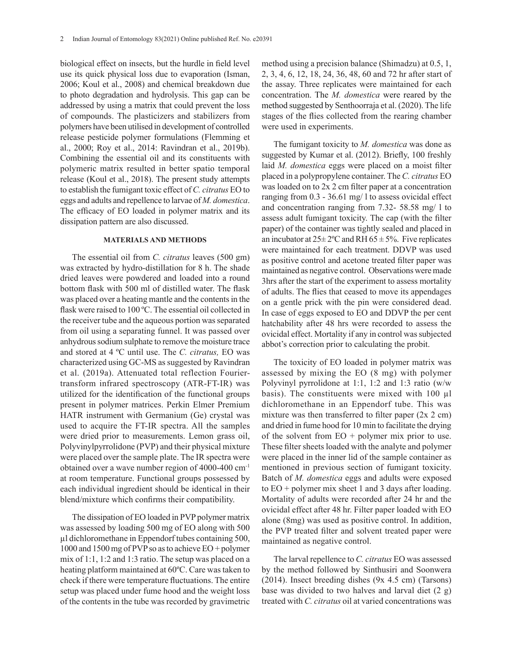biological effect on insects, but the hurdle in field level use its quick physical loss due to evaporation (Isman, 2006; Koul et al., 2008) and chemical breakdown due to photo degradation and hydrolysis. This gap can be addressed by using a matrix that could prevent the loss of compounds. The plasticizers and stabilizers from polymers have been utilised in development of controlled release pesticide polymer formulations (Flemming et al., 2000; Roy et al., 2014: Ravindran et al., 2019b). Combining the essential oil and its constituents with polymeric matrix resulted in better spatio temporal release (Koul et al., 2018). The present study attempts to establish the fumigant toxic effect of *C. citratus* EO to eggs and adults and repellence to larvae of *M. domestica*. The efficacy of EO loaded in polymer matrix and its dissipation pattern are also discussed.

## **MATERIALS AND METHODS**

The essential oil from *C. citratus* leaves (500 gm) was extracted by hydro-distillation for 8 h. The shade dried leaves were powdered and loaded into a round bottom flask with 500 ml of distilled water. The flask was placed over a heating mantle and the contents in the flask were raised to 100 ºC. The essential oil collected in the receiver tube and the aqueous portion was separated from oil using a separating funnel. It was passed over anhydrous sodium sulphate to remove the moisture trace and stored at 4 ºC until use. The *C. citratus,* EO was characterized using GC-MS as suggested by Ravindran et al. (2019a). Attenuated total reflection Fouriertransform infrared spectroscopy (ATR-FT-IR) was utilized for the identification of the functional groups present in polymer matrices. Perkin Elmer Premium HATR instrument with Germanium (Ge) crystal was used to acquire the FT-IR spectra. All the samples were dried prior to measurements. Lemon grass oil, Polyvinylpyrrolidone (PVP) and their physical mixture were placed over the sample plate. The IR spectra were obtained over a wave number region of 4000-400 cm-1 at room temperature. Functional groups possessed by each individual ingredient should be identical in their blend/mixture which confirms their compatibility.

The dissipation of EO loaded in PVP polymer matrix was assessed by loading 500 mg of EO along with 500 µl dichloromethane in Eppendorf tubes containing 500, 1000 and 1500 mg of PVP so as to achieve EO + polymer mix of 1:1, 1:2 and 1:3 ratio. The setup was placed on a heating platform maintained at 60ºC. Care was taken to check if there were temperature fluctuations. The entire setup was placed under fume hood and the weight loss of the contents in the tube was recorded by gravimetric method using a precision balance (Shimadzu) at 0.5, 1, 2, 3, 4, 6, 12, 18, 24, 36, 48, 60 and 72 hr after start of the assay. Three replicates were maintained for each concentration. The *M. domestica* were reared by the method suggested by Senthoorraja et al. (2020). The life stages of the flies collected from the rearing chamber were used in experiments.

The fumigant toxicity to *M. domestica* was done as suggested by Kumar et al. (2012). Briefly, 100 freshly laid *M. domestica* eggs were placed on a moist filter placed in a polypropylene container. The *C. citratus* EO was loaded on to 2x 2 cm filter paper at a concentration ranging from 0.3 - 36.61 mg/ l to assess ovicidal effect and concentration ranging from 7.32- 58.58 mg/ l to assess adult fumigant toxicity. The cap (with the filter paper) of the container was tightly sealed and placed in an incubator at  $25 \pm 2$ °C and RH  $65 \pm 5$ %. Five replicates were maintained for each treatment. DDVP was used as positive control and acetone treated filter paper was maintained as negative control. Observations were made 3hrs after the start of the experiment to assess mortality of adults. The flies that ceased to move its appendages on a gentle prick with the pin were considered dead. In case of eggs exposed to EO and DDVP the per cent hatchability after 48 hrs were recorded to assess the ovicidal effect. Mortality if any in control was subjected abbot's correction prior to calculating the probit.

The toxicity of EO loaded in polymer matrix was assessed by mixing the EO (8 mg) with polymer Polyvinyl pyrrolidone at 1:1, 1:2 and 1:3 ratio (w/w basis). The constituents were mixed with 100 µl dichloromethane in an Eppendorf tube. This was mixture was then transferred to filter paper  $(2x 2 cm)$ and dried in fume hood for 10 min to facilitate the drying of the solvent from  $EO + polymer$  mix prior to use. These filter sheets loaded with the analyte and polymer were placed in the inner lid of the sample container as mentioned in previous section of fumigant toxicity. Batch of *M. domestica* eggs and adults were exposed to  $EO + polymer mix sheet 1$  and 3 days after loading. Mortality of adults were recorded after 24 hr and the ovicidal effect after 48 hr. Filter paper loaded with EO alone (8mg) was used as positive control. In addition, the PVP treated filter and solvent treated paper were maintained as negative control.

The larval repellence to *C. citratus* EO was assessed by the method followed by Sinthusiri and Soonwera (2014). Insect breeding dishes (9x 4.5 cm) (Tarsons) base was divided to two halves and larval diet (2 g) treated with *C. citratus* oil at varied concentrations was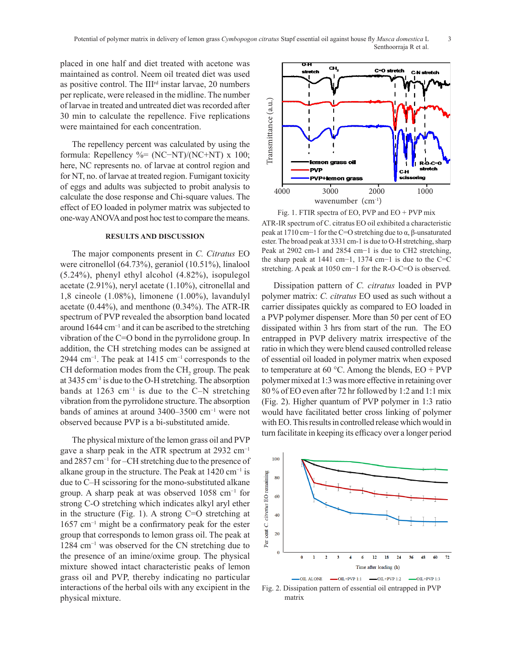placed in one half and diet treated with acetone was maintained as control. Neem oil treated diet was used as positive control. The IIIrd instar larvae, 20 numbers per replicate, were released in the midline. The number of larvae in treated and untreated diet was recorded after 30 min to calculate the repellence. Five replications were maintained for each concentration.

The repellency percent was calculated by using the formula: Repellency %= (NC−NT)/(NC+NT) x 100; here, NC represents no. of larvae at control region and for NT, no. of larvae at treated region. Fumigant toxicity of eggs and adults was subjected to probit analysis to calculate the dose response and Chi-square values. The effect of EO loaded in polymer matrix was subjected to one-way ANOVA and post hoc test to compare the means.

#### **RESULTS AND DISCUSSION**

The major components present in *C. Citratus* EO were citronellol (64.73%), geraniol (10.51%), linalool (5.24%), phenyl ethyl alcohol (4.82%), isopulegol acetate (2.91%), neryl acetate (1.10%), citronellal and 1,8 cineole (1.08%), limonene (1.00%), lavandulyl acetate (0.44%), and menthone (0.34%). The ATR-IR spectrum of PVP revealed the absorption band located around 1644 cm−1 and it can be ascribed to the stretching vibration of the C=O bond in the pyrrolidone group. In addition, the CH stretching modes can be assigned at 2944 cm<sup>-1</sup>. The peak at 1415 cm<sup>-1</sup> corresponds to the CH deformation modes from the  $CH<sub>2</sub>$  group. The peak at 3435 cm-1 is due to the O-H stretching. The absorption bands at 1263 cm−1 is due to the C–N stretching vibration from the pyrrolidone structure. The absorption bands of amines at around 3400–3500 cm−1 were not observed because PVP is a bi-substituted amide.

The physical mixture of the lemon grass oil and PVP gave a sharp peak in the ATR spectrum at 2932 cm<sup>-1</sup> and 2857 cm−1 for –CH stretching due to the presence of alkane group in the structure. The Peak at  $1420 \text{ cm}^{-1}$  is due to C-H scissoring for the mono-substituted alkane group. A sharp peak at was observed 1058 cm−1 for strong C-O stretching which indicates alkyl aryl ether in the structure (Fig. 1). A strong  $C=O$  stretching at 1657 cm−1 might be a confirmatory peak for the ester group that corresponds to lemon grass oil. The peak at 1284 cm−1 was observed for the CN stretching due to the presence of an imine/oxime group. The physical mixture showed intact characteristic peaks of lemon grass oil and PVP, thereby indicating no particular interactions of the herbal oils with any excipient in the physical mixture.



Fig. 1. FTIR spectra of EO, PVP and EO + PVP mix

ATR-IR spectrum of C. citratus EO oil exhibited a characteristic peak at 1710 cm−1 for the C=O stretching due to α, β-unsaturated ester. The broad peak at 3331 cm-1 is due to O-H stretching, sharp Peak at 2902 cm-1 and 2854 cm−1 is due to CH2 stretching, the sharp peak at 1441 cm−1, 1374 cm−1 is due to the C=C stretching. A peak at 1050 cm−1 for the R-O-C=O is observed.

Dissipation pattern of *C. citratus* loaded in PVP polymer matrix: *C. citratus* EO used as such without a carrier dissipates quickly as compared to EO loaded in a PVP polymer dispenser. More than 50 per cent of EO dissipated within 3 hrs from start of the run. The EO entrapped in PVP delivery matrix irrespective of the ratio in which they were blend caused controlled release of essential oil loaded in polymer matrix when exposed to temperature at 60 °C. Among the blends,  $EO + PVP$ polymer mixed at 1:3 was more effective in retaining over 80 % of EO even after 72 hr followed by 1:2 and 1:1 mix (Fig. 2). Higher quantum of PVP polymer in 1:3 ratio would have facilitated better cross linking of polymer with EO. This results in controlled release which would in turn facilitate in keeping its efficacy over a longer period



Fig. 2. Dissipation pattern of essential oil entrapped in PVP Fig. 2. Dissipation pattern of essential oil entrapped in PVP matrix. Fig. 3. EO + PVP mix toxicity on *M. domestica* eggs. matrix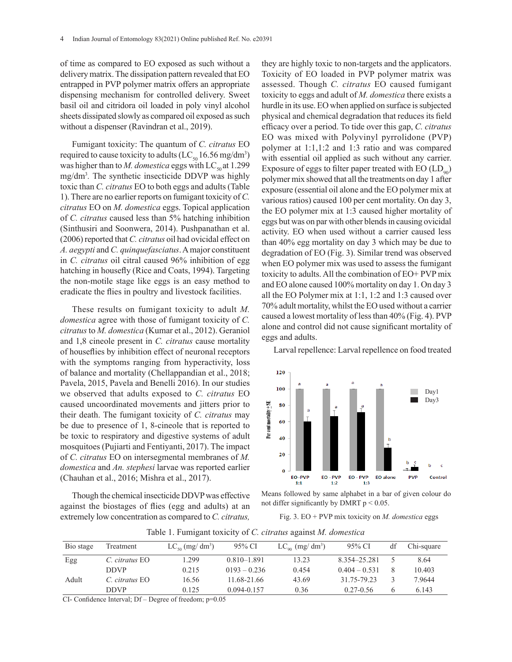of time as compared to EO exposed as such without a delivery matrix. The dissipation pattern revealed that EO entrapped in PVP polymer matrix offers an appropriate dispensing mechanism for controlled delivery. Sweet basil oil and citridora oil loaded in poly vinyl alcohol sheets dissipated slowly as compared oil exposed as such without a dispenser (Ravindran et al., 2019).

Fumigant toxicity: The quantum of *C. citratus* EO required to cause toxicity to adults (LC<sub>50</sub> 16.56 mg/dm<sup>3</sup>) was higher than to *M. domestica* eggs with  $LC_{so}$  at 1.299 mg/dm3 *.* The synthetic insecticide DDVP was highly toxic than *C. citratus* EO to both eggs and adults (Table 1). There are no earlier reports on fumigant toxicity of *C. citratus* EO on *M. domestica* eggs. Topical application of *C. citratus* caused less than 5% hatching inhibition (Sinthusiri and Soonwera, 2014). Pushpanathan et al. (2006) reported that *C. citratus* oil had ovicidal effect on *A. aegypti* and *C. quinquefasciatus*. A major constituent in *C. citratus* oil citral caused 96% inhibition of egg hatching in housefly (Rice and Coats, 1994). Targeting the non-motile stage like eggs is an easy method to eradicate the flies in poultry and livestock facilities.

These results on fumigant toxicity to adult *M. domestica* agree with those of fumigant toxicity of *C. citratus* to *M. domestica* (Kumar et al., 2012). Geraniol and 1,8 cineole present in *C. citratus* cause mortality of houseflies by inhibition effect of neuronal receptors with the symptoms ranging from hyperactivity, loss of balance and mortality (Chellappandian et al., 2018; Pavela, 2015, Pavela and Benelli 2016). In our studies we observed that adults exposed to *C. citratus* EO caused uncoordinated movements and jitters prior to their death. The fumigant toxicity of *C. citratus* may be due to presence of 1, 8-cineole that is reported to be toxic to respiratory and digestive systems of adult mosquitoes (Pujiarti and Fentiyanti, 2017). The impact of *C. citratus* EO on intersegmental membranes of *M. domestica* and *An. stephesi* larvae was reported earlier (Chauhan et al., 2016; Mishra et al., 2017).

Though the chemical insecticide DDVP was effective against the biostages of flies (egg and adults) at an extremely low concentration as compared to *C. citratus,*

they are highly toxic to non-targets and the applicators. Toxicity of EO loaded in PVP polymer matrix was assessed. Though *C. citratus* EO caused fumigant toxicity to eggs and adult of *M. domestica* there exists a hurdle in its use. EO when applied on surface is subjected physical and chemical degradation that reduces its field efficacy over a period. To tide over this gap, *C. citratus* EO was mixed with Polyvinyl pyrrolidone (PVP) polymer at 1:1,1:2 and 1:3 ratio and was compared with essential oil applied as such without any carrier. Exposure of eggs to filter paper treated with  $EO (LD<sub>oo</sub>)$ polymer mix showed that all the treatments on day 1 after exposure (essential oil alone and the EO polymer mix at various ratios) caused 100 per cent mortality. On day 3, the EO polymer mix at 1:3 caused higher mortality of eggs but was on par with other blends in causing ovicidal activity. EO when used without a carrier caused less than 40% egg mortality on day 3 which may be due to degradation of EO (Fig. 3). Similar trend was observed when EO polymer mix was used to assess the fumigant toxicity to adults. All the combination of EO+ PVP mix and EO alone caused 100% mortality on day 1. On day 3 all the EO Polymer mix at  $1:1$ ,  $1:2$  and  $1:3$  caused over 70% adult mortality, whilst the EO used without a carrier caused a lowest mortality of less than 40% (Fig. 4). PVP alone and control did not cause significant mortality of eggs and adults.

Larval repellence: Larval repellence on food treated



Means followed by same alphabet in a bar of given colour do not differ significantly by DMRT  $p < 0.05$ .

Fig. 2. Dissipation pattern of essential oil entrapped in PVP matrix. Fig. 3. EO + PVP mix toxicity on *M. domestica* eggs. Fig. 3. EO + PVP mix toxicity on *M. domestica* eggs

| Bio stage | Treatment      | $LC_{so}$ (mg/ dm <sup>3</sup> ) | 95% CI          | $LC_{\rm oo}$ (mg/ dm <sup>3</sup> ) | 95% CI          | df | Chi-square |
|-----------|----------------|----------------------------------|-----------------|--------------------------------------|-----------------|----|------------|
| Egg       | C. citratus EO | L <sub>299</sub>                 | $0.810 - 1.891$ | 13.23                                | 8.354-25.281    |    | 8.64       |
|           | <b>DDVP</b>    | 0.215                            | $0193 - 0.236$  | 0.454                                | $0.404 - 0.531$ |    | 10.403     |
| Adult     | C. citratus EO | 16.56                            | 11.68-21.66     | 43.69                                | 31.75-79.23     |    | 7.9644     |
|           | <b>DDVP</b>    | 0.125                            | $0.094 - 0.157$ | 0.36                                 | $0.27 - 0.56$   |    | 6.143      |

Table 1. Fumigant toxicity of *C. citratus* against *M. domestica*

CI- Confidence Interval; Df - Degree of freedom; p=0.05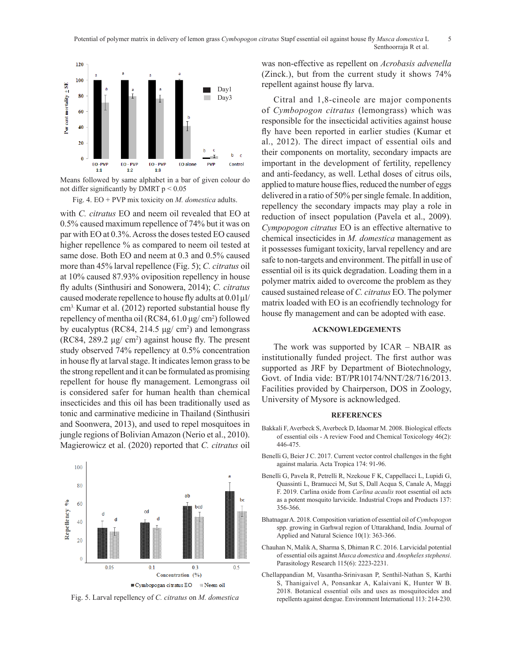

Means followed by same alphabet in a bar of given colour do not differ significantly by DMRT  $p < 0.05$ 

Fig. 4. EO + PVP mix toxicity on *M. domestica* adults.

with *C. citratus* EO and neem oil revealed that EO at 0.5% caused maximum repellence of 74% but it was on par with EO at 0.3%. Across the doses tested EO caused higher repellence % as compared to neem oil tested at same dose. Both EO and neem at 0.3 and 0.5% caused more than 45% larval repellence (Fig. 5); *C. citratus* oil at 10% caused 87.93% oviposition repellency in house fly adults (Sinthusiri and Sonowera, 2014); *C. citratus* caused moderate repellence to house fly adults at  $0.01 \mu$ l/ cm3. Kumar et al. (2012) reported substantial house fly repellency of mentha oil (RC84, 61.0 μg/ cm<sup>2</sup>) followed by eucalyptus (RC84, 214.5  $\mu$ g/ cm<sup>2</sup>) and lemongrass (RC84, 289.2  $\mu$ g/ cm<sup>2</sup>) against house fly. The present study observed 74% repellency at 0.5% concentration in house fly at larval stage. It indicates lemon grass to be the strong repellent and it can be formulated as promising repellent for house fly management. Lemongrass oil is considered safer for human health than chemical insecticides and this oil has been traditionally used as tonic and carminative medicine in Thailand (Sinthusiri and Soonwera, 2013), and used to repel mosquitoes in jungle regions of Bolivian Amazon (Nerio et al., 2010). Magierowicz et al. (2020) reported that *C. citratus* oil



Fig. 5. Larval repellency of *C. citratus* on *M. domestica*

was non-effective as repellent on *Acrobasis advenella*  (Zinck.), but from the current study it shows 74% repellent against house fly larva.

Citral and 1,8-cineole are major components of *Cymbopogon citratus* (lemongrass) which was responsible for the insecticidal activities against house fly have been reported in earlier studies (Kumar et al., 2012). The direct impact of essential oils and their components on mortality, secondary impacts are important in the development of fertility, repellency and anti-feedancy, as well. Lethal doses of citrus oils, applied to mature house flies, reduced the number of eggs delivered in a ratio of 50% per single female. In addition, repellency the secondary impacts may play a role in In C. *citratus* EO and neem oil revealed that EO at reduction of insect population (Pavela et al., 2009). *Cympopogon citratus* EO is an effective alternative to chemical insecticides in *M. domestica* management as it possesses fumigant toxicity, larval repellency and are safe to non-targets and environment. The pitfall in use of essential oil is its quick degradation. Loading them in a polymer matrix aided to overcome the problem as they caused sustained release of *C. citratus* EO. The polymer matrix loaded with EO is an ecofriendly technology for house fly management and can be adopted with ease.

## **ACKNOWLEDGEMENTS**

The work was supported by ICAR – NBAIR as institutionally funded project. The first author was supported as JRF by Department of Biotechnology, Govt. of India vide: BT/PR10174/NNT/28/716/2013. Facilities provided by Chairperson, DOS in Zoology, University of Mysore is acknowledged.

### **REFERENCES**

- Bakkali F, Averbeck S, Averbeck D, Idaomar M. 2008. Biological effects of essential oils - A review Food and Chemical Toxicology 46(2): 446-475.
- Benelli G, Beier J C. 2017. Current vector control challenges in the fight against malaria. Acta Tropica 174: 91-96.
- Benelli G, Pavela R, Petrelli R, Nzekoue F K, Cappellacci L, Lupidi G, Quassinti L, Bramucci M, Sut S, Dall Acqua S, Canale A, Maggi F. 2019. Carlina oxide from *Carlina acaulis* root essential oil acts as a potent mosquito larvicide. Industrial Crops and Products 137: 356-366.
- Bhatnagar A. 2018. Composition variation of essential oil of *Cymbopogon*  spp. growing in Garhwal region of Uttarakhand, India. Journal of Applied and Natural Science 10(1): 363-366.
- Chauhan N, Malik A, Sharma S, Dhiman R C. 2016. Larvicidal potential of essential oils against *Musca domestica* and *Anopheles stephensi*. Parasitology Research 115(6): 2223-2231.
- Chellappandian M, Vasantha-Srinivasan P, Senthil-Nathan S, Karthi S, Thanigaivel A, Ponsankar A, Kalaivani K, Hunter W B. 2018. Botanical essential oils and uses as mosquitocides and repellents against dengue. Environment International 113: 214-230.